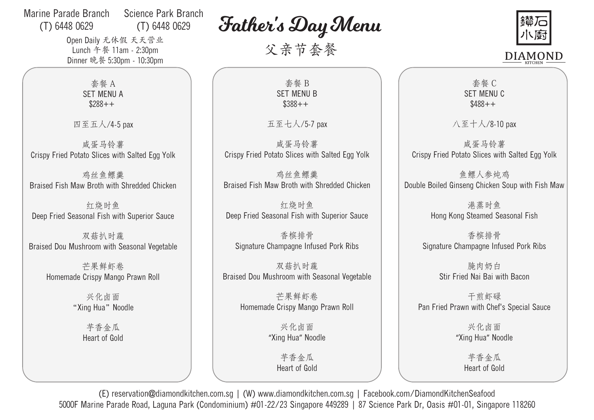## Marine Parade Branch (T) 6448 0629 Science Park Branch (T) 6448 0629

Open Daily 无休假 天天营业 Lunch 午餐 11am - 2:30pm Dinner 晚餐 5:30pm - 10:30pm Father's Day Menu

父亲节套餐



套餐 A SET MENU A  $$288++$ 

四至五人/4-5 pax

Crispy Fried Potato Slices with Salted Egg Yolk 咸蛋马铃薯

Braised Fish Maw Broth with Shredded Chicken 鸡丝鱼鳔羹

Deep Fried Seasonal Fish with Superior Sauce 红烧时鱼

Braised Dou Mushroom with Seasonal Vegetable 双菇扒时蔬

> Homemade Crispy Mango Prawn Roll 芒果鲜虾卷

> > "Xing Hua" Noodle 兴化卤面

> > > Heart of Gold 芋香金瓜

套餐 B SET MENU B \$388++

五至七人/5-7 pax

Crispy Fried Potato Slices with Salted Egg Yolk 咸蛋马铃薯

Braised Fish Maw Broth with Shredded Chicken 鸡丝鱼鳔羹

Deep Fried Seasonal Fish with Superior Sauce 红烧时鱼

Signature Champagne Infused Pork Ribs 香槟排骨

Braised Dou Mushroom with Seasonal Vegetable 双菇扒时蔬

> Homemade Crispy Mango Prawn Roll 芒果鲜虾卷

> > "Xing Hua" Noodle 兴化卤面

> > > Heart of Gold 芋香金瓜

套餐 C SET MENU C  $$488++$ 

八至十人/8-10 pax

Crispy Fried Potato Slices with Salted Egg Yolk 咸蛋马铃薯

Double Boiled Ginseng Chicken Soup with Fish Maw 鱼鳔人参炖鸡

> Hong Kong Steamed Seasonal Fish 港蒸时鱼

Signature Champagne Infused Pork Ribs 香槟排骨

> Stir Fried Nai Bai with Bacon 腌肉奶白

Pan Fried Prawn with Chef's Special Sauce 干煎虾碌

> "Xing Hua" Noodle 兴化卤面

> > Heart of Gold 芋香金瓜

(E) reservation@diamondkitchen.com.sg | (W) www.diamondkitchen.com.sg | Facebook.com/DiamondKitchenSeafood 5000F Marine Parade Road, Laguna Park (Condominium) #01-22/23 Singapore 449289 | 87 Science Park Dr, Oasis #01-01, Singapore 118260